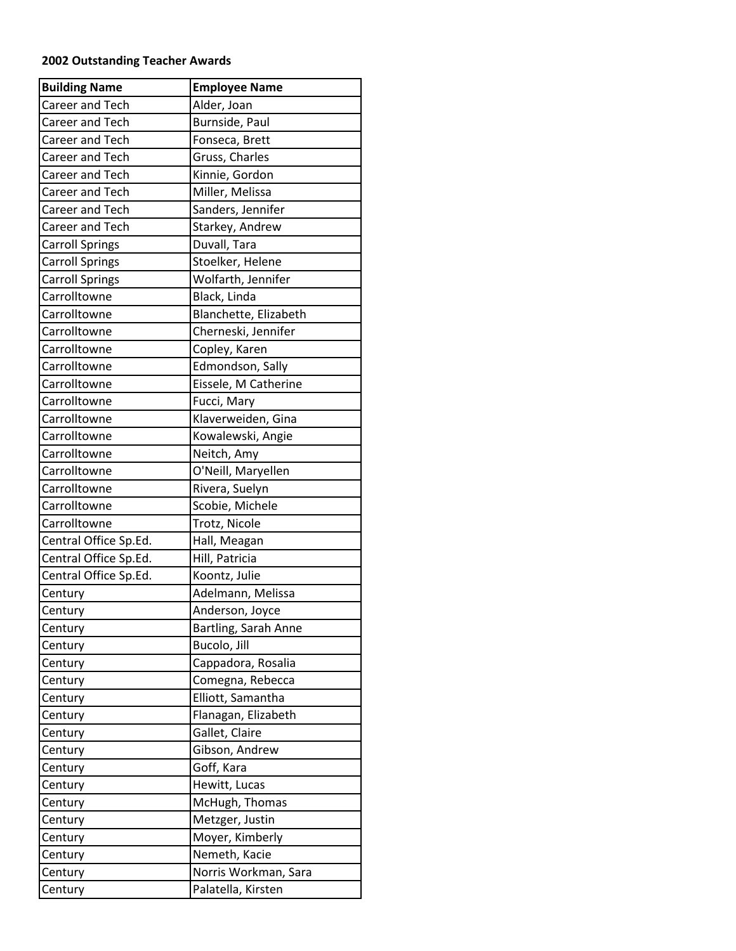## **2002 Outstanding Teacher Awards**

| <b>Building Name</b>   | <b>Employee Name</b>  |
|------------------------|-----------------------|
| <b>Career and Tech</b> | Alder, Joan           |
| <b>Career and Tech</b> | Burnside, Paul        |
| Career and Tech        | Fonseca, Brett        |
| <b>Career and Tech</b> | Gruss, Charles        |
| Career and Tech        | Kinnie, Gordon        |
| Career and Tech        | Miller, Melissa       |
| <b>Career and Tech</b> | Sanders, Jennifer     |
| Career and Tech        | Starkey, Andrew       |
| <b>Carroll Springs</b> | Duvall, Tara          |
| <b>Carroll Springs</b> | Stoelker, Helene      |
| <b>Carroll Springs</b> | Wolfarth, Jennifer    |
| Carrolltowne           | Black, Linda          |
| Carrolltowne           | Blanchette, Elizabeth |
| Carrolltowne           | Cherneski, Jennifer   |
| Carrolltowne           | Copley, Karen         |
| Carrolltowne           | Edmondson, Sally      |
| Carrolltowne           | Eissele, M Catherine  |
| Carrolltowne           | Fucci, Mary           |
| Carrolltowne           | Klaverweiden, Gina    |
| Carrolltowne           | Kowalewski, Angie     |
| Carrolltowne           | Neitch, Amy           |
| Carrolltowne           | O'Neill, Maryellen    |
| Carrolltowne           | Rivera, Suelyn        |
| Carrolltowne           | Scobie, Michele       |
| Carrolltowne           | Trotz, Nicole         |
| Central Office Sp.Ed.  | Hall, Meagan          |
| Central Office Sp.Ed.  | Hill, Patricia        |
| Central Office Sp.Ed.  | Koontz, Julie         |
| Century                | Adelmann, Melissa     |
| Century                | Anderson, Joyce       |
| Century                | Bartling, Sarah Anne  |
| Century                | Bucolo, Jill          |
| Century                | Cappadora, Rosalia    |
| Century                | Comegna, Rebecca      |
| Century                | Elliott, Samantha     |
| Century                | Flanagan, Elizabeth   |
| Century                | Gallet, Claire        |
| Century                | Gibson, Andrew        |
| Century                | Goff, Kara            |
| Century                | Hewitt, Lucas         |
| Century                | McHugh, Thomas        |
| Century                | Metzger, Justin       |
| Century                | Moyer, Kimberly       |
| Century                | Nemeth, Kacie         |
| Century                | Norris Workman, Sara  |
| Century                | Palatella, Kirsten    |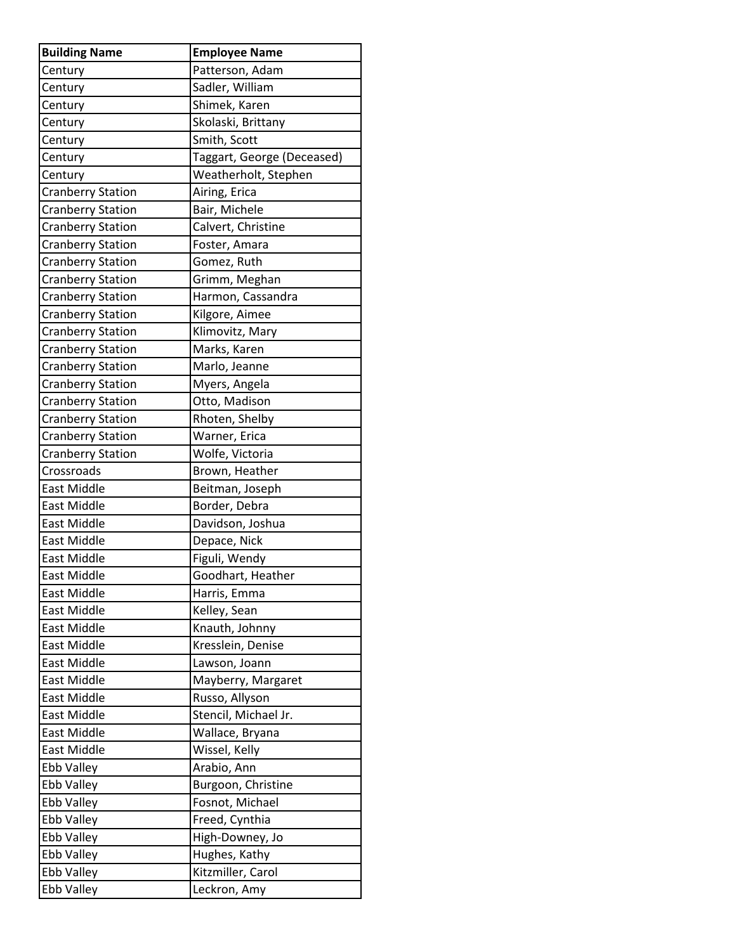| <b>Building Name</b>     | <b>Employee Name</b>       |
|--------------------------|----------------------------|
| Century                  | Patterson, Adam            |
| Century                  | Sadler, William            |
| Century                  | Shimek, Karen              |
| Century                  | Skolaski, Brittany         |
| Century                  | Smith, Scott               |
| Century                  | Taggart, George (Deceased) |
| Century                  | Weatherholt, Stephen       |
| <b>Cranberry Station</b> | Airing, Erica              |
| <b>Cranberry Station</b> | Bair, Michele              |
| <b>Cranberry Station</b> | Calvert, Christine         |
| <b>Cranberry Station</b> | Foster, Amara              |
| <b>Cranberry Station</b> | Gomez, Ruth                |
| <b>Cranberry Station</b> | Grimm, Meghan              |
| <b>Cranberry Station</b> | Harmon, Cassandra          |
| <b>Cranberry Station</b> | Kilgore, Aimee             |
| <b>Cranberry Station</b> | Klimovitz, Mary            |
| <b>Cranberry Station</b> | Marks, Karen               |
| <b>Cranberry Station</b> | Marlo, Jeanne              |
| <b>Cranberry Station</b> | Myers, Angela              |
| <b>Cranberry Station</b> | Otto, Madison              |
| <b>Cranberry Station</b> | Rhoten, Shelby             |
| <b>Cranberry Station</b> | Warner, Erica              |
| <b>Cranberry Station</b> | Wolfe, Victoria            |
| Crossroads               | Brown, Heather             |
| East Middle              | Beitman, Joseph            |
| East Middle              | Border, Debra              |
| <b>East Middle</b>       | Davidson, Joshua           |
| <b>East Middle</b>       | Depace, Nick               |
| East Middle              | Figuli, Wendy              |
| East Middle              | Goodhart, Heather          |
| <b>East Middle</b>       | Harris, Emma               |
| <b>East Middle</b>       | Kelley, Sean               |
| <b>East Middle</b>       | Knauth, Johnny             |
| <b>East Middle</b>       | Kresslein, Denise          |
| East Middle              | Lawson, Joann              |
| East Middle              | Mayberry, Margaret         |
| <b>East Middle</b>       | Russo, Allyson             |
| <b>East Middle</b>       | Stencil, Michael Jr.       |
| <b>East Middle</b>       | Wallace, Bryana            |
| East Middle              | Wissel, Kelly              |
| Ebb Valley               | Arabio, Ann                |
| Ebb Valley               | Burgoon, Christine         |
| Ebb Valley               | Fosnot, Michael            |
| Ebb Valley               | Freed, Cynthia             |
| Ebb Valley               | High-Downey, Jo            |
| Ebb Valley               | Hughes, Kathy              |
| Ebb Valley               | Kitzmiller, Carol          |
| Ebb Valley               | Leckron, Amy               |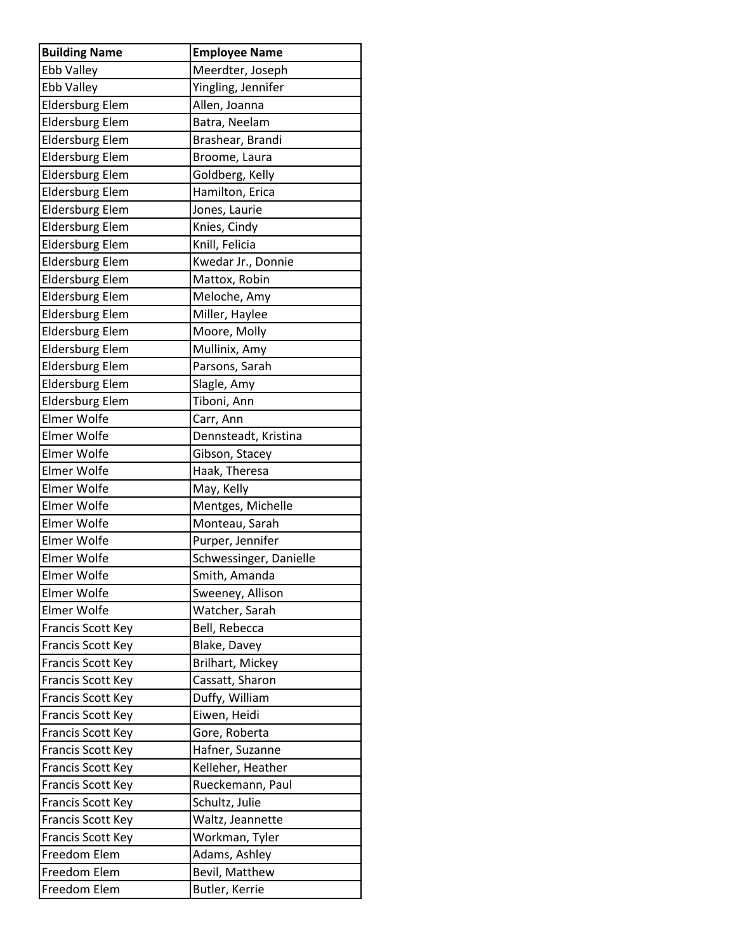| <b>Building Name</b>     | <b>Employee Name</b>   |
|--------------------------|------------------------|
| Ebb Valley               | Meerdter, Joseph       |
| Ebb Valley               | Yingling, Jennifer     |
| <b>Eldersburg Elem</b>   | Allen, Joanna          |
| <b>Eldersburg Elem</b>   | Batra, Neelam          |
| <b>Eldersburg Elem</b>   | Brashear, Brandi       |
| <b>Eldersburg Elem</b>   | Broome, Laura          |
| <b>Eldersburg Elem</b>   | Goldberg, Kelly        |
| <b>Eldersburg Elem</b>   | Hamilton, Erica        |
| <b>Eldersburg Elem</b>   | Jones, Laurie          |
| <b>Eldersburg Elem</b>   | Knies, Cindy           |
| <b>Eldersburg Elem</b>   | Knill, Felicia         |
| <b>Eldersburg Elem</b>   | Kwedar Jr., Donnie     |
| <b>Eldersburg Elem</b>   | Mattox, Robin          |
| <b>Eldersburg Elem</b>   | Meloche, Amy           |
| <b>Eldersburg Elem</b>   | Miller, Haylee         |
| <b>Eldersburg Elem</b>   | Moore, Molly           |
| <b>Eldersburg Elem</b>   | Mullinix, Amy          |
| <b>Eldersburg Elem</b>   | Parsons, Sarah         |
| <b>Eldersburg Elem</b>   | Slagle, Amy            |
| <b>Eldersburg Elem</b>   | Tiboni, Ann            |
| <b>Elmer Wolfe</b>       | Carr, Ann              |
| <b>Elmer Wolfe</b>       | Dennsteadt, Kristina   |
| <b>Elmer Wolfe</b>       | Gibson, Stacey         |
| <b>Elmer Wolfe</b>       | Haak, Theresa          |
| <b>Elmer Wolfe</b>       | May, Kelly             |
| Elmer Wolfe              | Mentges, Michelle      |
| <b>Elmer Wolfe</b>       | Monteau, Sarah         |
| <b>Elmer Wolfe</b>       | Purper, Jennifer       |
| <b>Elmer Wolfe</b>       | Schwessinger, Danielle |
| Elmer Wolfe              | Smith, Amanda          |
| <b>Elmer Wolfe</b>       | Sweeney, Allison       |
| <b>Elmer Wolfe</b>       | Watcher, Sarah         |
| Francis Scott Key        | Bell, Rebecca          |
| Francis Scott Key        | Blake, Davey           |
| Francis Scott Key        | Brilhart, Mickey       |
| <b>Francis Scott Key</b> | Cassatt, Sharon        |
| <b>Francis Scott Key</b> | Duffy, William         |
| Francis Scott Key        | Eiwen, Heidi           |
| Francis Scott Key        | Gore, Roberta          |
| <b>Francis Scott Key</b> | Hafner, Suzanne        |
| Francis Scott Key        | Kelleher, Heather      |
| <b>Francis Scott Key</b> | Rueckemann, Paul       |
| Francis Scott Key        | Schultz, Julie         |
| Francis Scott Key        | Waltz, Jeannette       |
| <b>Francis Scott Key</b> | Workman, Tyler         |
| Freedom Elem             | Adams, Ashley          |
| Freedom Elem             | Bevil, Matthew         |
| Freedom Elem             | Butler, Kerrie         |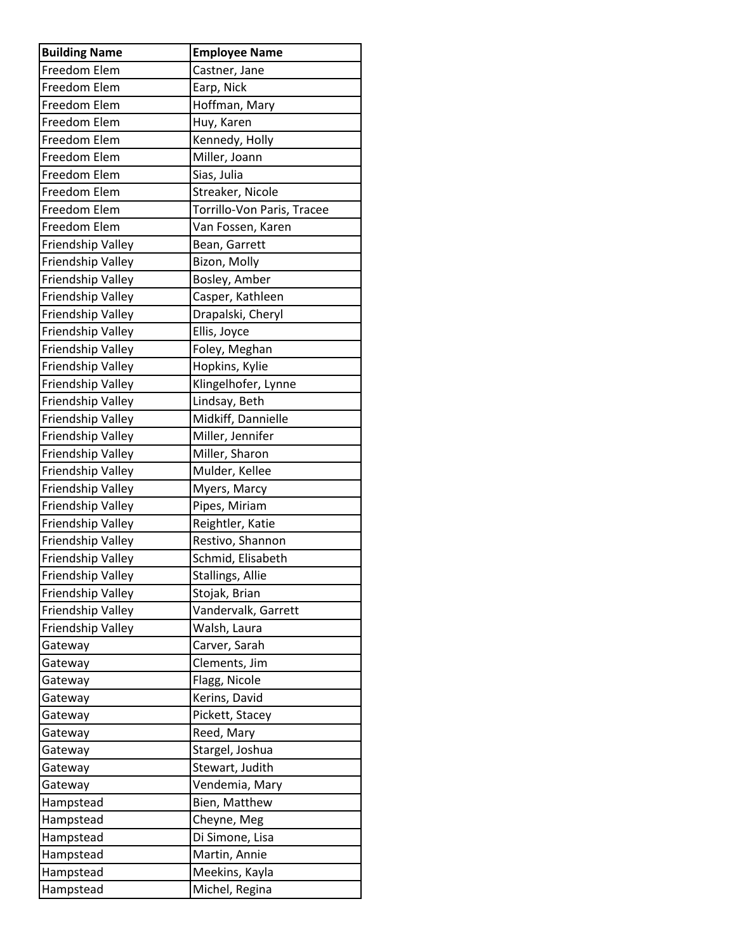| <b>Building Name</b> | <b>Employee Name</b>       |
|----------------------|----------------------------|
| Freedom Elem         | Castner, Jane              |
| Freedom Elem         | Earp, Nick                 |
| Freedom Elem         | Hoffman, Mary              |
| Freedom Elem         | Huy, Karen                 |
| Freedom Elem         | Kennedy, Holly             |
| Freedom Elem         | Miller, Joann              |
| Freedom Elem         | Sias, Julia                |
| Freedom Elem         | Streaker, Nicole           |
| Freedom Elem         | Torrillo-Von Paris, Tracee |
| Freedom Elem         | Van Fossen, Karen          |
| Friendship Valley    | Bean, Garrett              |
| Friendship Valley    | Bizon, Molly               |
| Friendship Valley    | Bosley, Amber              |
| Friendship Valley    | Casper, Kathleen           |
| Friendship Valley    | Drapalski, Cheryl          |
| Friendship Valley    | Ellis, Joyce               |
| Friendship Valley    | Foley, Meghan              |
| Friendship Valley    | Hopkins, Kylie             |
| Friendship Valley    | Klingelhofer, Lynne        |
| Friendship Valley    | Lindsay, Beth              |
| Friendship Valley    | Midkiff, Dannielle         |
| Friendship Valley    | Miller, Jennifer           |
| Friendship Valley    | Miller, Sharon             |
| Friendship Valley    | Mulder, Kellee             |
| Friendship Valley    | Myers, Marcy               |
| Friendship Valley    | Pipes, Miriam              |
| Friendship Valley    | Reightler, Katie           |
| Friendship Valley    | Restivo, Shannon           |
| Friendship Valley    | Schmid, Elisabeth          |
| Friendship Valley    | Stallings, Allie           |
| Friendship Valley    | Stojak, Brian              |
| Friendship Valley    | Vandervalk, Garrett        |
| Friendship Valley    | Walsh, Laura               |
| Gateway              | Carver, Sarah              |
| Gateway              | Clements, Jim              |
| Gateway              | Flagg, Nicole              |
| Gateway              | Kerins, David              |
| Gateway              | Pickett, Stacey            |
| Gateway              | Reed, Mary                 |
| Gateway              | Stargel, Joshua            |
| Gateway              | Stewart, Judith            |
| Gateway              | Vendemia, Mary             |
| Hampstead            | Bien, Matthew              |
| Hampstead            | Cheyne, Meg                |
| Hampstead            | Di Simone, Lisa            |
| Hampstead            | Martin, Annie              |
| Hampstead            | Meekins, Kayla             |
| Hampstead            | Michel, Regina             |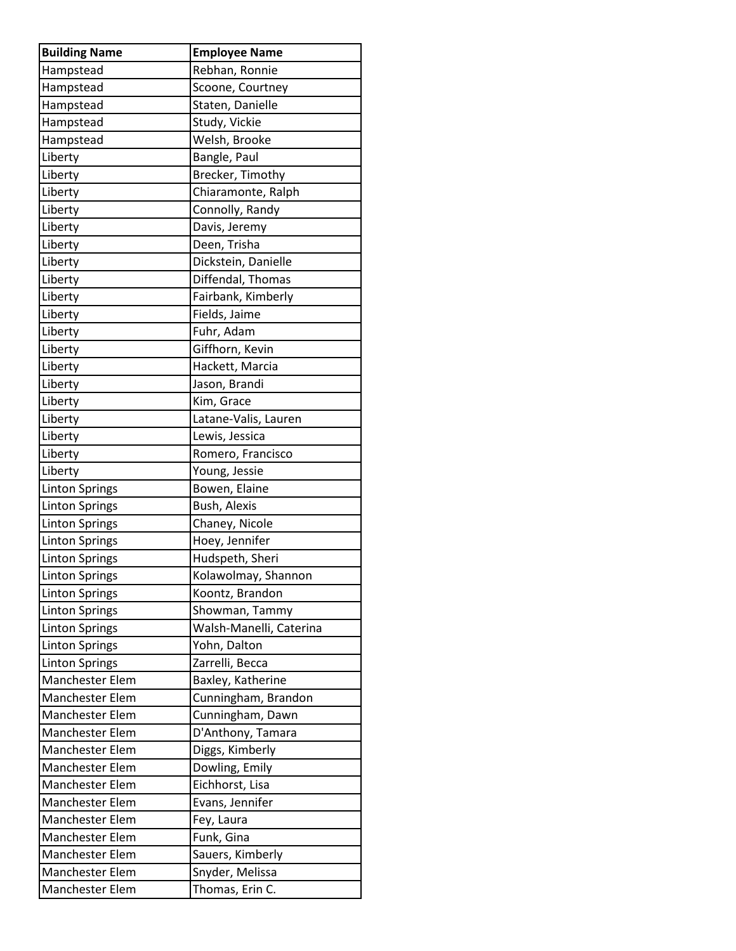| <b>Building Name</b>   | <b>Employee Name</b>    |
|------------------------|-------------------------|
| Hampstead              | Rebhan, Ronnie          |
| Hampstead              | Scoone, Courtney        |
| Hampstead              | Staten, Danielle        |
| Hampstead              | Study, Vickie           |
| Hampstead              | Welsh, Brooke           |
| Liberty                | Bangle, Paul            |
| Liberty                | Brecker, Timothy        |
| Liberty                | Chiaramonte, Ralph      |
| Liberty                | Connolly, Randy         |
| Liberty                | Davis, Jeremy           |
| Liberty                | Deen, Trisha            |
| Liberty                | Dickstein, Danielle     |
| Liberty                | Diffendal, Thomas       |
| Liberty                | Fairbank, Kimberly      |
| Liberty                | Fields, Jaime           |
| Liberty                | Fuhr, Adam              |
| Liberty                | Giffhorn, Kevin         |
| Liberty                | Hackett, Marcia         |
| Liberty                | Jason, Brandi           |
| Liberty                | Kim, Grace              |
| Liberty                | Latane-Valis, Lauren    |
| Liberty                | Lewis, Jessica          |
| Liberty                | Romero, Francisco       |
| Liberty                | Young, Jessie           |
| <b>Linton Springs</b>  | Bowen, Elaine           |
| <b>Linton Springs</b>  | Bush, Alexis            |
| <b>Linton Springs</b>  | Chaney, Nicole          |
| <b>Linton Springs</b>  | Hoey, Jennifer          |
| <b>Linton Springs</b>  | Hudspeth, Sheri         |
| <b>Linton Springs</b>  | Kolawolmay, Shannon     |
| <b>Linton Springs</b>  | Koontz, Brandon         |
| <b>Linton Springs</b>  | Showman, Tammy          |
| <b>Linton Springs</b>  | Walsh-Manelli, Caterina |
| <b>Linton Springs</b>  | Yohn, Dalton            |
| <b>Linton Springs</b>  | Zarrelli, Becca         |
| <b>Manchester Elem</b> | Baxley, Katherine       |
| <b>Manchester Elem</b> | Cunningham, Brandon     |
| Manchester Elem        | Cunningham, Dawn        |
| <b>Manchester Elem</b> | D'Anthony, Tamara       |
| <b>Manchester Elem</b> | Diggs, Kimberly         |
| Manchester Elem        | Dowling, Emily          |
| <b>Manchester Elem</b> | Eichhorst, Lisa         |
| <b>Manchester Elem</b> | Evans, Jennifer         |
| <b>Manchester Elem</b> | Fey, Laura              |
| <b>Manchester Elem</b> | Funk, Gina              |
| <b>Manchester Elem</b> | Sauers, Kimberly        |
| Manchester Elem        | Snyder, Melissa         |
| Manchester Elem        | Thomas, Erin C.         |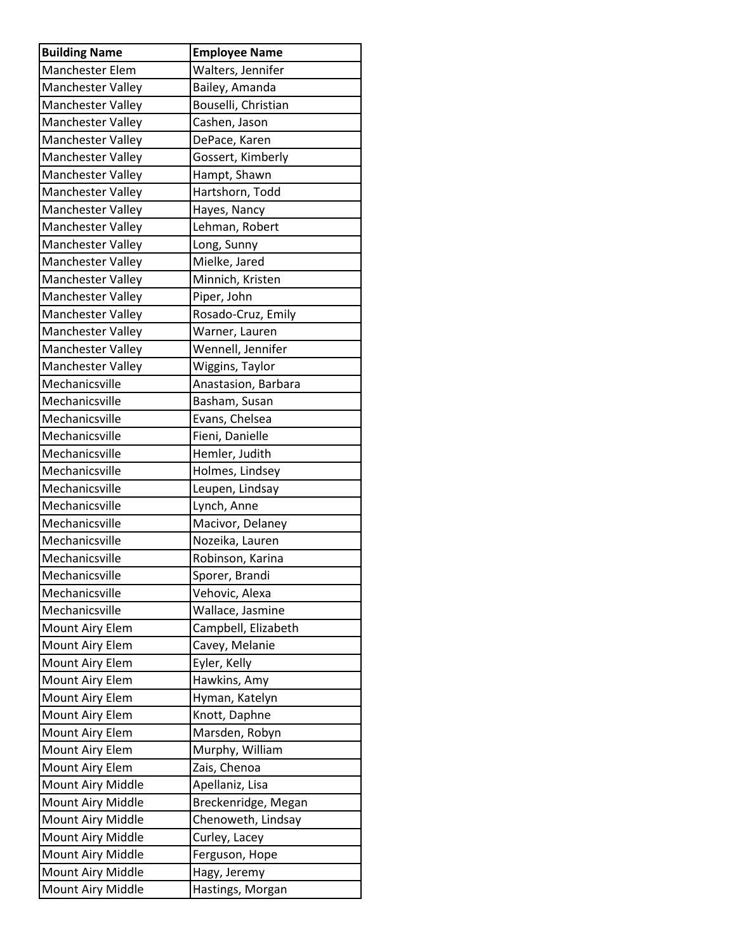| <b>Building Name</b>     | <b>Employee Name</b> |
|--------------------------|----------------------|
| <b>Manchester Elem</b>   | Walters, Jennifer    |
| Manchester Valley        | Bailey, Amanda       |
| Manchester Valley        | Bouselli, Christian  |
| Manchester Valley        | Cashen, Jason        |
| Manchester Valley        | DePace, Karen        |
| Manchester Valley        | Gossert, Kimberly    |
| Manchester Valley        | Hampt, Shawn         |
| Manchester Valley        | Hartshorn, Todd      |
| Manchester Valley        | Hayes, Nancy         |
| Manchester Valley        | Lehman, Robert       |
| Manchester Valley        | Long, Sunny          |
| Manchester Valley        | Mielke, Jared        |
| Manchester Valley        | Minnich, Kristen     |
| <b>Manchester Valley</b> | Piper, John          |
| Manchester Valley        | Rosado-Cruz, Emily   |
| Manchester Valley        | Warner, Lauren       |
| Manchester Valley        | Wennell, Jennifer    |
| <b>Manchester Valley</b> | Wiggins, Taylor      |
| Mechanicsville           | Anastasion, Barbara  |
| Mechanicsville           | Basham, Susan        |
| Mechanicsville           | Evans, Chelsea       |
| Mechanicsville           | Fieni, Danielle      |
| Mechanicsville           | Hemler, Judith       |
| Mechanicsville           | Holmes, Lindsey      |
| Mechanicsville           | Leupen, Lindsay      |
| Mechanicsville           | Lynch, Anne          |
| Mechanicsville           | Macivor, Delaney     |
| Mechanicsville           | Nozeika, Lauren      |
| Mechanicsville           | Robinson, Karina     |
| Mechanicsville           | Sporer, Brandi       |
| Mechanicsville           | Vehovic, Alexa       |
| Mechanicsville           | Wallace, Jasmine     |
| Mount Airy Elem          | Campbell, Elizabeth  |
| Mount Airy Elem          | Cavey, Melanie       |
| Mount Airy Elem          | Eyler, Kelly         |
| Mount Airy Elem          | Hawkins, Amy         |
| Mount Airy Elem          | Hyman, Katelyn       |
| Mount Airy Elem          | Knott, Daphne        |
| Mount Airy Elem          | Marsden, Robyn       |
| Mount Airy Elem          | Murphy, William      |
| Mount Airy Elem          | Zais, Chenoa         |
| Mount Airy Middle        | Apellaniz, Lisa      |
| Mount Airy Middle        | Breckenridge, Megan  |
| Mount Airy Middle        | Chenoweth, Lindsay   |
| Mount Airy Middle        | Curley, Lacey        |
| Mount Airy Middle        | Ferguson, Hope       |
| Mount Airy Middle        | Hagy, Jeremy         |
| Mount Airy Middle        | Hastings, Morgan     |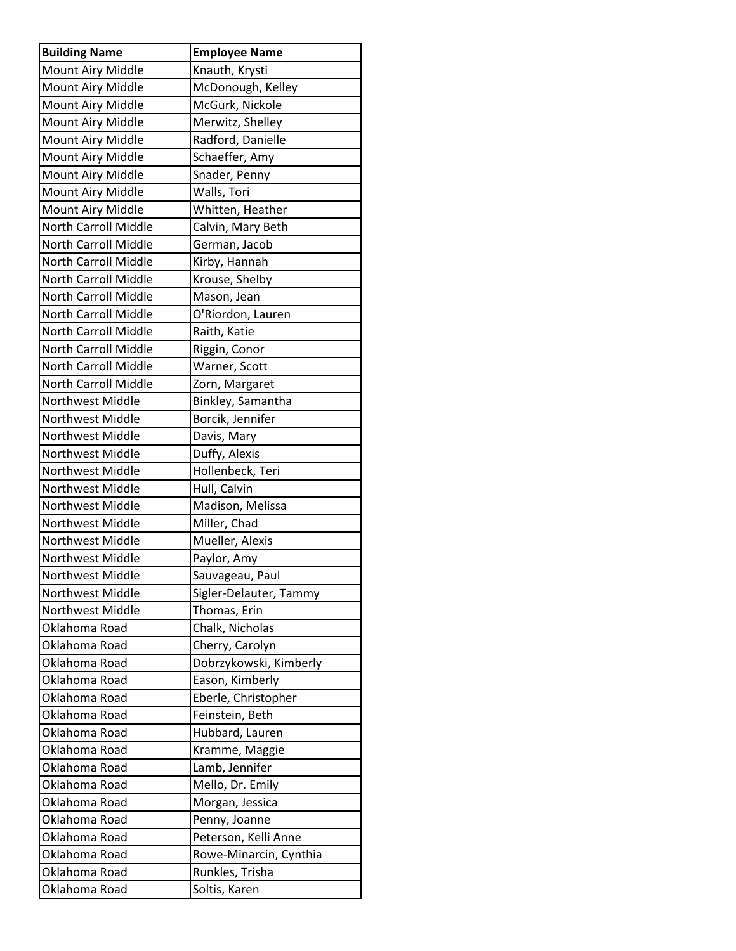| <b>Building Name</b>        | <b>Employee Name</b>   |
|-----------------------------|------------------------|
| Mount Airy Middle           | Knauth, Krysti         |
| Mount Airy Middle           | McDonough, Kelley      |
| Mount Airy Middle           | McGurk, Nickole        |
| Mount Airy Middle           | Merwitz, Shelley       |
| Mount Airy Middle           | Radford, Danielle      |
| Mount Airy Middle           | Schaeffer, Amy         |
| Mount Airy Middle           | Snader, Penny          |
| Mount Airy Middle           | Walls, Tori            |
| Mount Airy Middle           | Whitten, Heather       |
| <b>North Carroll Middle</b> | Calvin, Mary Beth      |
| North Carroll Middle        | German, Jacob          |
| North Carroll Middle        | Kirby, Hannah          |
| <b>North Carroll Middle</b> | Krouse, Shelby         |
| North Carroll Middle        | Mason, Jean            |
| <b>North Carroll Middle</b> | O'Riordon, Lauren      |
| <b>North Carroll Middle</b> | Raith, Katie           |
| <b>North Carroll Middle</b> | Riggin, Conor          |
| <b>North Carroll Middle</b> | Warner, Scott          |
| <b>North Carroll Middle</b> | Zorn, Margaret         |
| <b>Northwest Middle</b>     | Binkley, Samantha      |
| <b>Northwest Middle</b>     | Borcik, Jennifer       |
| <b>Northwest Middle</b>     | Davis, Mary            |
| <b>Northwest Middle</b>     | Duffy, Alexis          |
| Northwest Middle            | Hollenbeck, Teri       |
| <b>Northwest Middle</b>     | Hull, Calvin           |
| <b>Northwest Middle</b>     | Madison, Melissa       |
| <b>Northwest Middle</b>     | Miller, Chad           |
| <b>Northwest Middle</b>     | Mueller, Alexis        |
| Northwest Middle            | Paylor, Amy            |
| Northwest Middle            | Sauvageau, Paul        |
| Northwest Middle            | Sigler-Delauter, Tammy |
| <b>Northwest Middle</b>     | Thomas, Erin           |
| Oklahoma Road               | Chalk, Nicholas        |
| Oklahoma Road               | Cherry, Carolyn        |
| Oklahoma Road               | Dobrzykowski, Kimberly |
| Oklahoma Road               | Eason, Kimberly        |
| Oklahoma Road               | Eberle, Christopher    |
| Oklahoma Road               | Feinstein, Beth        |
| Oklahoma Road               | Hubbard, Lauren        |
| Oklahoma Road               | Kramme, Maggie         |
| Oklahoma Road               | Lamb, Jennifer         |
| Oklahoma Road               | Mello, Dr. Emily       |
| Oklahoma Road               | Morgan, Jessica        |
| Oklahoma Road               | Penny, Joanne          |
| Oklahoma Road               | Peterson, Kelli Anne   |
| Oklahoma Road               | Rowe-Minarcin, Cynthia |
| Oklahoma Road               | Runkles, Trisha        |
| Oklahoma Road               | Soltis, Karen          |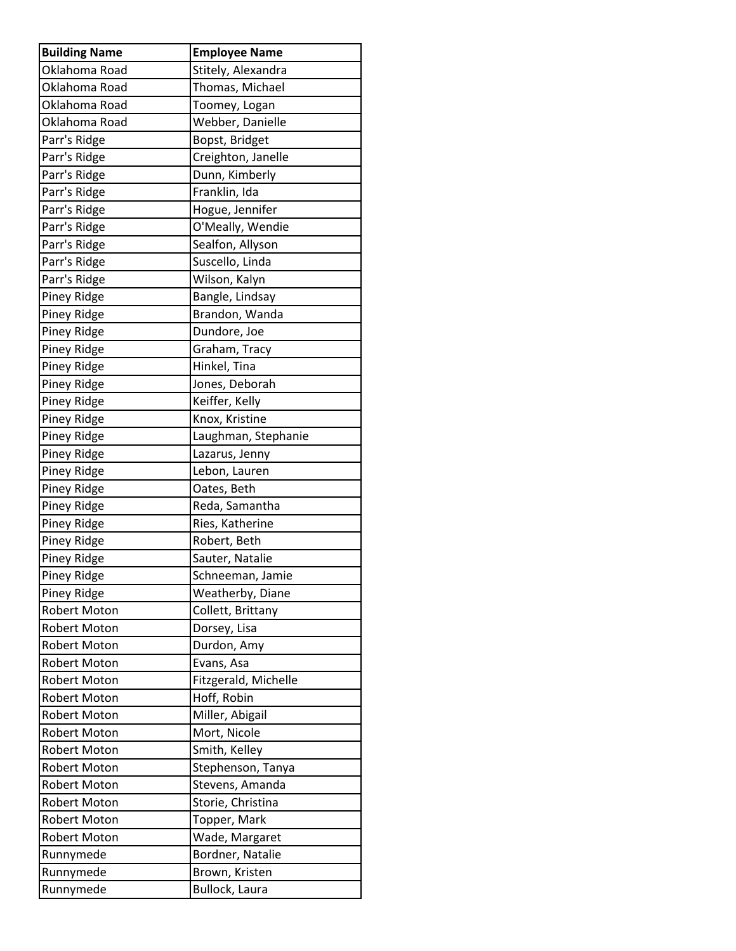| <b>Building Name</b> | <b>Employee Name</b> |
|----------------------|----------------------|
| Oklahoma Road        | Stitely, Alexandra   |
| Oklahoma Road        | Thomas, Michael      |
| Oklahoma Road        | Toomey, Logan        |
| Oklahoma Road        | Webber, Danielle     |
| Parr's Ridge         | Bopst, Bridget       |
| Parr's Ridge         | Creighton, Janelle   |
| Parr's Ridge         | Dunn, Kimberly       |
| Parr's Ridge         | Franklin, Ida        |
| Parr's Ridge         | Hogue, Jennifer      |
| Parr's Ridge         | O'Meally, Wendie     |
| Parr's Ridge         | Sealfon, Allyson     |
| Parr's Ridge         | Suscello, Linda      |
| Parr's Ridge         | Wilson, Kalyn        |
| Piney Ridge          | Bangle, Lindsay      |
| Piney Ridge          | Brandon, Wanda       |
| Piney Ridge          | Dundore, Joe         |
| Piney Ridge          | Graham, Tracy        |
| Piney Ridge          | Hinkel, Tina         |
| Piney Ridge          | Jones, Deborah       |
| Piney Ridge          | Keiffer, Kelly       |
| Piney Ridge          | Knox, Kristine       |
| Piney Ridge          | Laughman, Stephanie  |
| Piney Ridge          | Lazarus, Jenny       |
| Piney Ridge          | Lebon, Lauren        |
| Piney Ridge          | Oates, Beth          |
| Piney Ridge          | Reda, Samantha       |
| Piney Ridge          | Ries, Katherine      |
| Piney Ridge          | Robert, Beth         |
| Piney Ridge          | Sauter, Natalie      |
| <b>Piney Ridge</b>   | Schneeman, Jamie     |
| Piney Ridge          | Weatherby, Diane     |
| <b>Robert Moton</b>  | Collett, Brittany    |
| <b>Robert Moton</b>  | Dorsey, Lisa         |
| <b>Robert Moton</b>  | Durdon, Amy          |
| Robert Moton         | Evans, Asa           |
| <b>Robert Moton</b>  | Fitzgerald, Michelle |
| Robert Moton         | Hoff, Robin          |
| Robert Moton         | Miller, Abigail      |
| <b>Robert Moton</b>  | Mort, Nicole         |
| Robert Moton         | Smith, Kelley        |
| <b>Robert Moton</b>  | Stephenson, Tanya    |
| Robert Moton         | Stevens, Amanda      |
| Robert Moton         | Storie, Christina    |
| Robert Moton         | Topper, Mark         |
| Robert Moton         | Wade, Margaret       |
| Runnymede            | Bordner, Natalie     |
| Runnymede            | Brown, Kristen       |
| Runnymede            | Bullock, Laura       |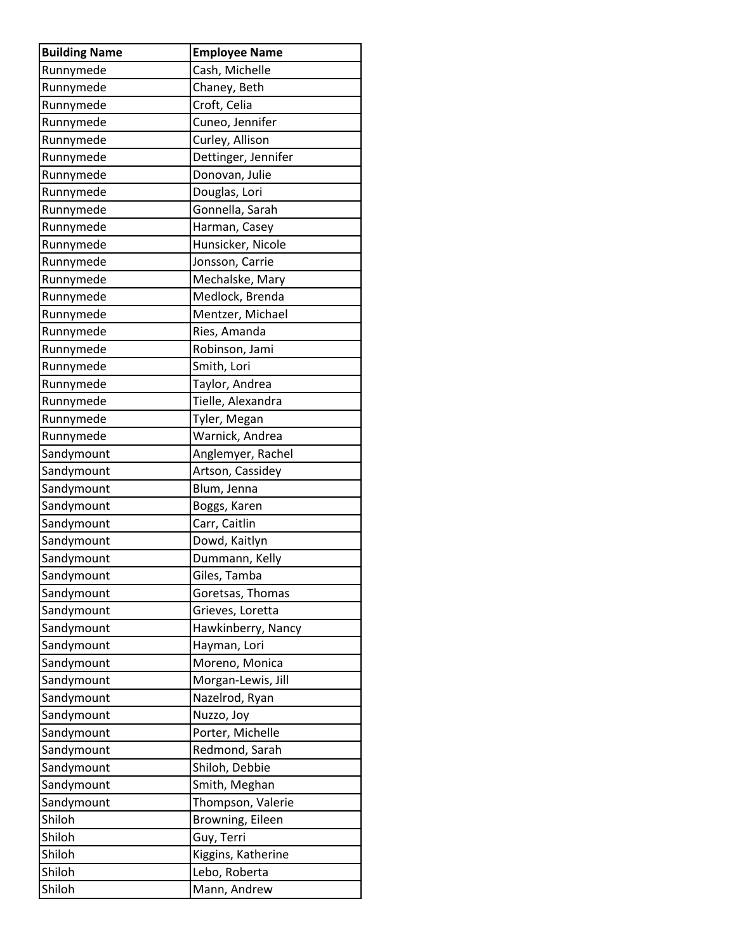| <b>Building Name</b>     | <b>Employee Name</b>           |
|--------------------------|--------------------------------|
| Runnymede                | Cash, Michelle                 |
| Runnymede                | Chaney, Beth                   |
| Runnymede                | Croft, Celia                   |
| Runnymede                | Cuneo, Jennifer                |
| Runnymede                | Curley, Allison                |
| Runnymede                | Dettinger, Jennifer            |
| Runnymede                | Donovan, Julie                 |
| Runnymede                | Douglas, Lori                  |
| Runnymede                | Gonnella, Sarah                |
| Runnymede                | Harman, Casey                  |
| Runnymede                | Hunsicker, Nicole              |
| Runnymede                | Jonsson, Carrie                |
| Runnymede                | Mechalske, Mary                |
| Runnymede                | Medlock, Brenda                |
| Runnymede                | Mentzer, Michael               |
| Runnymede                | Ries, Amanda                   |
| Runnymede                | Robinson, Jami                 |
| Runnymede                | Smith, Lori                    |
| Runnymede                | Taylor, Andrea                 |
| Runnymede                | Tielle, Alexandra              |
| Runnymede                | Tyler, Megan                   |
| Runnymede                | Warnick, Andrea                |
| Sandymount               | Anglemyer, Rachel              |
| Sandymount               | Artson, Cassidey               |
| Sandymount               | Blum, Jenna                    |
| Sandymount               | Boggs, Karen                   |
| Sandymount               | Carr, Caitlin                  |
| Sandymount               | Dowd, Kaitlyn                  |
| Sandymount               | Dummann, Kelly                 |
| Sandymount               | Giles, Tamba                   |
| Sandymount               | Goretsas, Thomas               |
| Sandymount               | Grieves, Loretta               |
| Sandymount               | Hawkinberry, Nancy             |
| Sandymount               | Hayman, Lori                   |
| Sandymount               | Moreno, Monica                 |
| Sandymount               | Morgan-Lewis, Jill             |
| Sandymount<br>Sandymount | Nazelrod, Ryan                 |
| Sandymount               | Nuzzo, Joy<br>Porter, Michelle |
| Sandymount               | Redmond, Sarah                 |
| Sandymount               | Shiloh, Debbie                 |
| Sandymount               | Smith, Meghan                  |
| Sandymount               | Thompson, Valerie              |
| Shiloh                   | Browning, Eileen               |
| Shiloh                   | Guy, Terri                     |
| Shiloh                   | Kiggins, Katherine             |
| Shiloh                   | Lebo, Roberta                  |
| Shiloh                   | Mann, Andrew                   |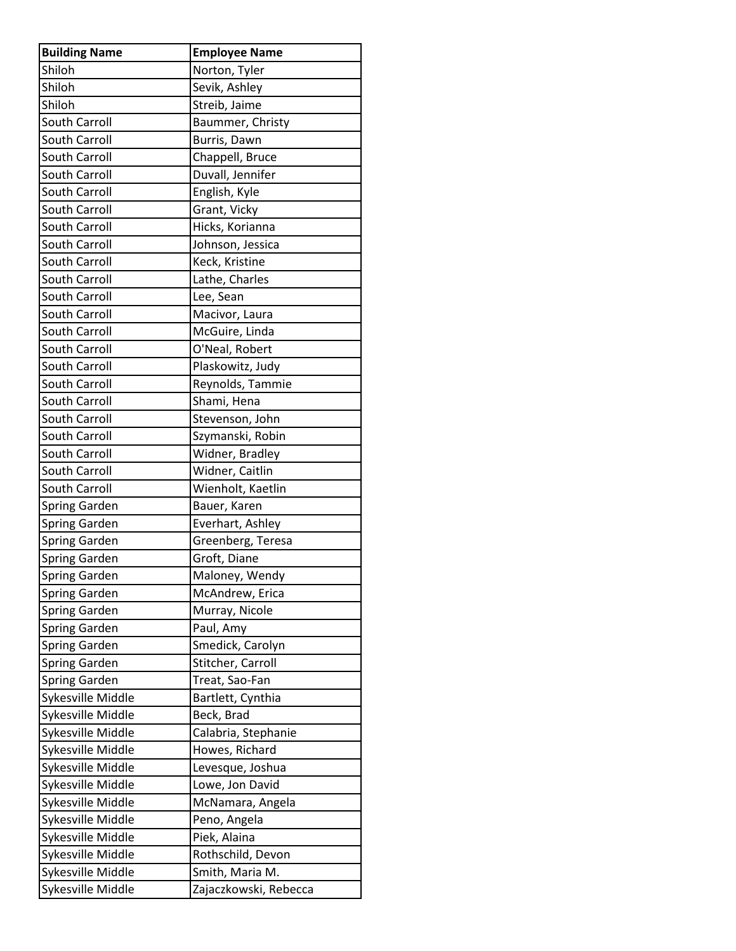| <b>Building Name</b> | <b>Employee Name</b>  |
|----------------------|-----------------------|
| Shiloh               | Norton, Tyler         |
| Shiloh               | Sevik, Ashley         |
| Shiloh               | Streib, Jaime         |
| <b>South Carroll</b> | Baummer, Christy      |
| South Carroll        | Burris, Dawn          |
| South Carroll        | Chappell, Bruce       |
| South Carroll        | Duvall, Jennifer      |
| <b>South Carroll</b> | English, Kyle         |
| South Carroll        | Grant, Vicky          |
| South Carroll        | Hicks, Korianna       |
| South Carroll        | Johnson, Jessica      |
| South Carroll        | Keck, Kristine        |
| South Carroll        | Lathe, Charles        |
| South Carroll        | Lee, Sean             |
| <b>South Carroll</b> | Macivor, Laura        |
| South Carroll        | McGuire, Linda        |
| South Carroll        | O'Neal, Robert        |
| South Carroll        | Plaskowitz, Judy      |
| South Carroll        | Reynolds, Tammie      |
| South Carroll        | Shami, Hena           |
| South Carroll        | Stevenson, John       |
| South Carroll        | Szymanski, Robin      |
| South Carroll        | Widner, Bradley       |
| South Carroll        | Widner, Caitlin       |
| South Carroll        | Wienholt, Kaetlin     |
| <b>Spring Garden</b> | Bauer, Karen          |
| Spring Garden        | Everhart, Ashley      |
| Spring Garden        | Greenberg, Teresa     |
| Spring Garden        | Groft, Diane          |
| <b>Spring Garden</b> | Maloney, Wendy        |
| <b>Spring Garden</b> | McAndrew, Erica       |
| <b>Spring Garden</b> | Murray, Nicole        |
| <b>Spring Garden</b> | Paul, Amy             |
| <b>Spring Garden</b> | Smedick, Carolyn      |
| <b>Spring Garden</b> | Stitcher, Carroll     |
| <b>Spring Garden</b> | Treat, Sao-Fan        |
| Sykesville Middle    | Bartlett, Cynthia     |
| Sykesville Middle    | Beck, Brad            |
| Sykesville Middle    | Calabria, Stephanie   |
| Sykesville Middle    | Howes, Richard        |
| Sykesville Middle    | Levesque, Joshua      |
| Sykesville Middle    | Lowe, Jon David       |
| Sykesville Middle    | McNamara, Angela      |
| Sykesville Middle    | Peno, Angela          |
| Sykesville Middle    | Piek, Alaina          |
| Sykesville Middle    | Rothschild, Devon     |
| Sykesville Middle    | Smith, Maria M.       |
| Sykesville Middle    | Zajaczkowski, Rebecca |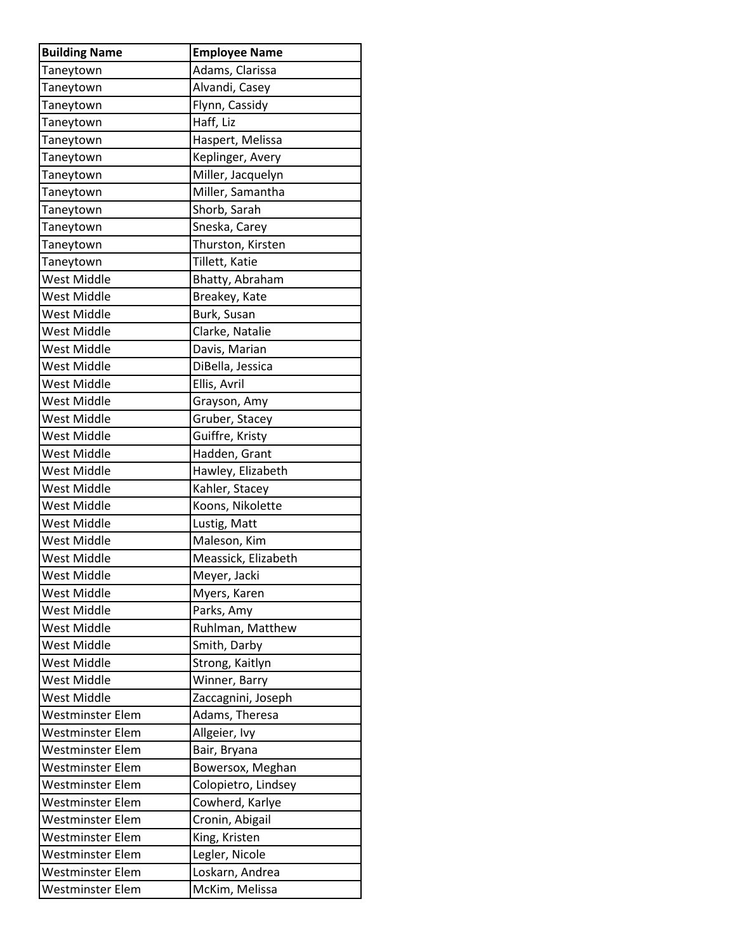| <b>Building Name</b> | <b>Employee Name</b> |
|----------------------|----------------------|
| Taneytown            | Adams, Clarissa      |
| Taneytown            | Alvandi, Casey       |
| Taneytown            | Flynn, Cassidy       |
| Taneytown            | Haff, Liz            |
| Taneytown            | Haspert, Melissa     |
| Taneytown            | Keplinger, Avery     |
| Taneytown            | Miller, Jacquelyn    |
| Taneytown            | Miller, Samantha     |
| Taneytown            | Shorb, Sarah         |
| Taneytown            | Sneska, Carey        |
| Taneytown            | Thurston, Kirsten    |
| Taneytown            | Tillett, Katie       |
| West Middle          | Bhatty, Abraham      |
| West Middle          | Breakey, Kate        |
| <b>West Middle</b>   | Burk, Susan          |
| West Middle          | Clarke, Natalie      |
| <b>West Middle</b>   | Davis, Marian        |
| West Middle          | DiBella, Jessica     |
| West Middle          | Ellis, Avril         |
| <b>West Middle</b>   | Grayson, Amy         |
| West Middle          | Gruber, Stacey       |
| <b>West Middle</b>   | Guiffre, Kristy      |
| West Middle          | Hadden, Grant        |
| <b>West Middle</b>   | Hawley, Elizabeth    |
| <b>West Middle</b>   | Kahler, Stacey       |
| West Middle          | Koons, Nikolette     |
| West Middle          | Lustig, Matt         |
| West Middle          | Maleson, Kim         |
| <b>West Middle</b>   | Meassick, Elizabeth  |
| <b>West Middle</b>   | Meyer, Jacki         |
| <b>West Middle</b>   | Myers, Karen         |
| <b>West Middle</b>   | Parks, Amy           |
| West Middle          | Ruhlman, Matthew     |
| <b>West Middle</b>   | Smith, Darby         |
| West Middle          | Strong, Kaitlyn      |
| <b>West Middle</b>   | Winner, Barry        |
| <b>West Middle</b>   | Zaccagnini, Joseph   |
| Westminster Elem     | Adams, Theresa       |
| Westminster Elem     | Allgeier, Ivy        |
| Westminster Elem     | Bair, Bryana         |
| Westminster Elem     | Bowersox, Meghan     |
| Westminster Elem     | Colopietro, Lindsey  |
| Westminster Elem     | Cowherd, Karlye      |
| Westminster Elem     | Cronin, Abigail      |
| Westminster Elem     | King, Kristen        |
| Westminster Elem     | Legler, Nicole       |
| Westminster Elem     | Loskarn, Andrea      |
| Westminster Elem     | McKim, Melissa       |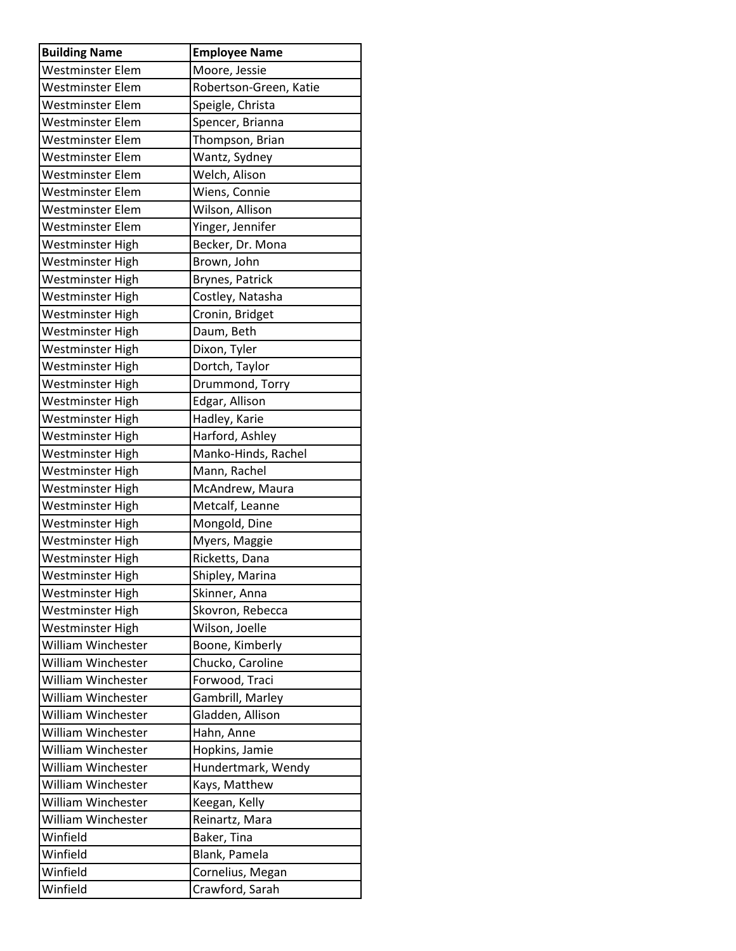| <b>Building Name</b>      | <b>Employee Name</b>   |
|---------------------------|------------------------|
| Westminster Elem          | Moore, Jessie          |
| Westminster Elem          | Robertson-Green, Katie |
| Westminster Elem          | Speigle, Christa       |
| Westminster Elem          | Spencer, Brianna       |
| Westminster Elem          | Thompson, Brian        |
| Westminster Elem          | Wantz, Sydney          |
| Westminster Elem          | Welch, Alison          |
| Westminster Elem          | Wiens, Connie          |
| Westminster Elem          | Wilson, Allison        |
| Westminster Elem          | Yinger, Jennifer       |
| Westminster High          | Becker, Dr. Mona       |
| Westminster High          | Brown, John            |
| Westminster High          | Brynes, Patrick        |
| Westminster High          | Costley, Natasha       |
| Westminster High          | Cronin, Bridget        |
| Westminster High          | Daum, Beth             |
| Westminster High          | Dixon, Tyler           |
| Westminster High          | Dortch, Taylor         |
| Westminster High          | Drummond, Torry        |
| Westminster High          | Edgar, Allison         |
| Westminster High          | Hadley, Karie          |
| Westminster High          | Harford, Ashley        |
| Westminster High          | Manko-Hinds, Rachel    |
| Westminster High          | Mann, Rachel           |
| Westminster High          | McAndrew, Maura        |
| Westminster High          | Metcalf, Leanne        |
| Westminster High          | Mongold, Dine          |
| Westminster High          | Myers, Maggie          |
| Westminster High          | Ricketts, Dana         |
| Westminster High          | Shipley, Marina        |
| <b>Westminster High</b>   | Skinner, Anna          |
| Westminster High          | Skovron, Rebecca       |
| Westminster High          | Wilson, Joelle         |
| William Winchester        | Boone, Kimberly        |
| <b>William Winchester</b> | Chucko, Caroline       |
| William Winchester        | Forwood, Traci         |
| William Winchester        | Gambrill, Marley       |
| William Winchester        | Gladden, Allison       |
| William Winchester        | Hahn, Anne             |
| William Winchester        | Hopkins, Jamie         |
| William Winchester        | Hundertmark, Wendy     |
| William Winchester        | Kays, Matthew          |
| William Winchester        | Keegan, Kelly          |
| William Winchester        | Reinartz, Mara         |
| Winfield                  | Baker, Tina            |
| Winfield                  | Blank, Pamela          |
| Winfield                  | Cornelius, Megan       |
| Winfield                  | Crawford, Sarah        |